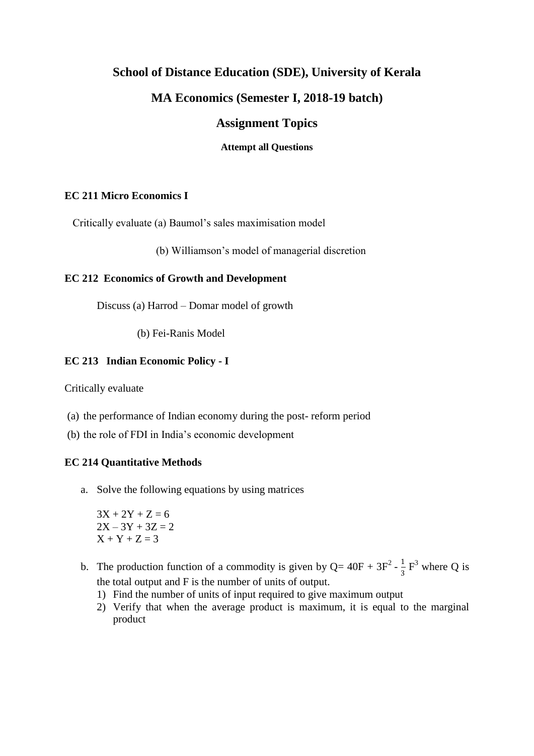# **School of Distance Education (SDE), University of Kerala**

## **MA Economics (Semester I, 2018-19 batch)**

# **Assignment Topics**

#### **Attempt all Questions**

### **EC 211 Micro Economics I**

Critically evaluate (a) Baumol's sales maximisation model

(b) Williamson's model of managerial discretion

## **EC 212 Economics of Growth and Development**

Discuss (a) Harrod – Domar model of growth

(b) Fei-Ranis Model

## **EC 213 Indian Economic Policy - I**

Critically evaluate

- (a) the performance of Indian economy during the post- reform period
- (b) the role of FDI in India's economic development

#### **EC 214 Quantitative Methods**

a. Solve the following equations by using matrices

 $3X + 2Y + Z = 6$  $2X - 3Y + 3Z = 2$  $X + Y + Z = 3$ 

- b. The production function of a commodity is given by  $Q = 40F + 3F^2 \frac{1}{2}$  $\frac{1}{3}$  F<sup>3</sup> where Q is the total output and F is the number of units of output.
	- 1) Find the number of units of input required to give maximum output
	- 2) Verify that when the average product is maximum, it is equal to the marginal product